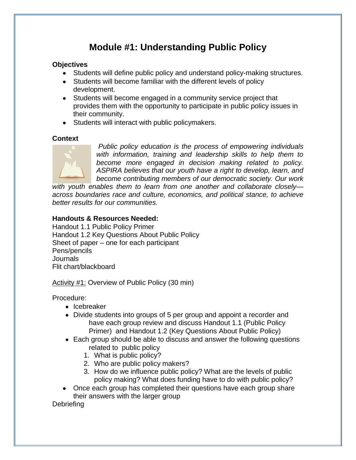# **Module #1: Understanding Public Policy**

## **Objectives**

- Students will define public policy and understand policy-making structures.
- Students will become familiar with the different levels of policy development.
- Students will become engaged in a community service project that provides them with the opportunity to participate in public policy issues in their community.
- Students will interact with public policymakers.

## **Context**



*Public policy education is the process of empowering individuals with information, training and leadership skills to help them to become more engaged in decision making related to policy. ASPIRA believes that our youth have a right to develop, learn, and become contributing members of our democratic society. Our work* 

*with youth enables them to learn from one another and collaborate closely across boundaries race and culture, economics, and political stance, to achieve better results for our communities.* 

## **Handouts & Resources Needed:**

Handout 1.1 Public Policy Primer Handout 1.2 Key Questions About Public Policy Sheet of paper – one for each participant Pens/pencils Journals Flit chart/blackboard

Activity #1: Overview of Public Policy (30 min)

Procedure:

- Icebreaker
- Divide students into groups of 5 per group and appoint a recorder and have each group review and discuss Handout 1.1 (Public Policy Primer) and Handout 1.2 (Key Questions About Public Policy)
- Each group should be able to discuss and answer the following questions related to public policy
	- 1. What is public policy?
	- 2. Who are public policy makers?
	- 3. How do we influence public policy? What are the levels of public policy making? What does funding have to do with public policy?
- Once each group has completed their questions have each group share their answers with the larger group

**Debriefing**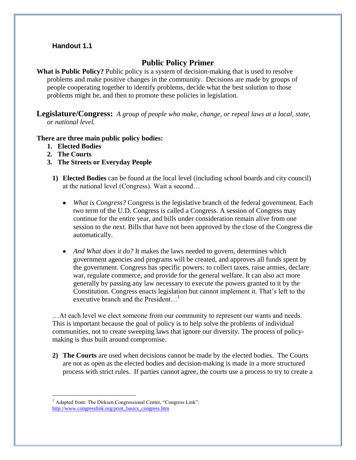## **Handout 1.1**

# **Public Policy Primer**

What is Public Policy? Public policy is a system of decision-making that is used to resolve problems and make positive changes in the community. Decisions are made by groups of people cooperating together to identify problems, decide what the best solution to those problems might be, and then to promote these policies in legislation.

**Legislature/Congress:** *A group of people who make, change, or repeal laws at a local, state, or national level.*

#### **There are three main public policy bodies:**

- **1. Elected Bodies**
- **2. The Courts**

1

- **3. The Streets or Everyday People** 
	- **1) Elected Bodies** can be found at the local level (including school boards and city council) at the national level (Congress). Wait a second…
		- $\bullet$ *What is Congress?* Congress is the legislative branch of the federal government. Each two term of the U.D. Congress is called a Congress. A session of Congress may continue for the entire year, and bills under consideration remain alive from one session to the next. Bills that have not been approved by the close of the Congress die automatically.
		- *And What does it do?* It makes the laws needed to govern, determines which government agencies and programs will be created, and approves all funds spent by the government. Congress has specific powers: to collect taxes, raise armies, declare war, regulate commerce, and provide for the general welfare. It can also act more generally by passing any law necessary to execute the powers granted to it by the Constitution. Congress enacts legislation but cannot implement it. That's left to the executive branch and the President...<sup>1</sup>

…At each level we elect someone from our community to represent our wants and needs. This is important because the goal of policy is to help solve the problems of individual communities, not to create sweeping laws that ignore our diversity. The process of policymaking is thus built around compromise.

**2) The Courts** are used when decisions cannot be made by the elected bodies. The Courts are not as open as the elected bodies and decision-making is made in a more structured process with strict rules. If parties cannot agree, the courts use a process to try to create a

Adapted from: The Dirksen Congressional Center, "Congress Link": [http://www.congresslink.org/print\\_basics\\_congress.htm](http://www.congresslink.org/print_basics_congress.htm)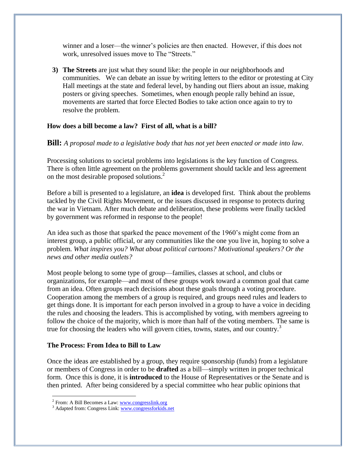winner and a loser—the winner's policies are then enacted. However, if this does not work, unresolved issues move to The "Streets."

**3) The Streets** are just what they sound like: the people in our neighborhoods and communities. We can debate an issue by writing letters to the editor or protesting at City Hall meetings at the state and federal level, by handing out fliers about an issue, making posters or giving speeches. Sometimes, when enough people rally behind an issue, movements are started that force Elected Bodies to take action once again to try to resolve the problem.

## **How does a bill become a law? First of all, what is a bill?**

**Bill:** *A proposal made to a legislative body that has not yet been enacted or made into law.*

Processing solutions to societal problems into legislations is the key function of Congress. There is often little agreement on the problems government should tackle and less agreement on the most desirable proposed solutions.<sup>2</sup>

Before a bill is presented to a legislature, an **idea** is developed first. Think about the problems tackled by the Civil Rights Movement, or the issues discussed in response to protects during the war in Vietnam. After much debate and deliberation, these problems were finally tackled by government was reformed in response to the people!

An idea such as those that sparked the peace movement of the 1960's might come from an interest group, a public official, or any communities like the one you live in, hoping to solve a problem. *What inspires you? What about political cartoons? Motivational speakers? Or the news and other media outlets?*

Most people belong to some type of group—families, classes at school, and clubs or organizations, for example—and most of these groups work toward a common goal that came from an idea. Often groups reach decisions about these goals through a voting procedure. Cooperation among the members of a group is required, and groups need rules and leaders to get things done. It is important for each person involved in a group to have a voice in deciding the rules and choosing the leaders. This is accomplished by voting, with members agreeing to follow the choice of the majority, which is more than half of the voting members. The same is true for choosing the leaders who will govern cities, towns, states, and our country.<sup>3</sup>

#### **The Process: From Idea to Bill to Law**

Once the ideas are established by a group, they require sponsorship (funds) from a legislature or members of Congress in order to be **drafted** as a bill—simply written in proper technical form. Once this is done, it is **introduced** to the House of Representatives or the Senate and is then printed. After being considered by a special committee who hear public opinions that

1

<sup>&</sup>lt;sup>2</sup> From: A Bill Becomes a Law: [www.congresslink.org](http://www.congresslink.org/)

<sup>&</sup>lt;sup>3</sup> Adapted from: Congress Link[: www.congressforkids.net](http://www.congressforkids.net/)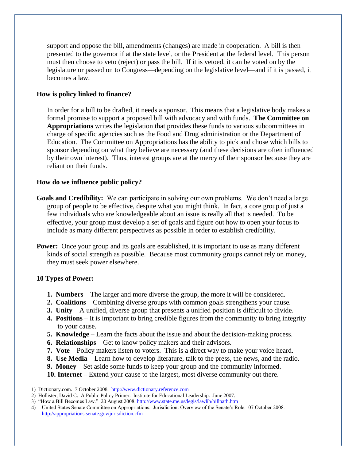support and oppose the bill, amendments (changes) are made in cooperation. A bill is then presented to the governor if at the state level, or the President at the federal level. This person must then choose to veto (reject) or pass the bill. If it is vetoed, it can be voted on by the legislature or passed on to Congress—depending on the legislative level—and if it is passed, it becomes a law.

## **How is policy linked to finance?**

In order for a bill to be drafted, it needs a sponsor. This means that a legislative body makes a formal promise to support a proposed bill with advocacy and with funds. **The Committee on Appropriations** writes the legislation that provides these funds to various subcommittees in charge of specific agencies such as the Food and Drug administration or the Department of Education. The Committee on Appropriations has the ability to pick and chose which bills to sponsor depending on what they believe are necessary (and these decisions are often influenced by their own interest). Thus, interest groups are at the mercy of their sponsor because they are reliant on their funds.

## **How do we influence public policy?**

- **Goals and Credibility:** We can participate in solving our own problems. We don't need a large group of people to be effective, despite what you might think. In fact, a core group of just a few individuals who are knowledgeable about an issue is really all that is needed. To be effective, your group must develop a set of goals and figure out how to open your focus to include as many different perspectives as possible in order to establish credibility.
- **Power:** Once your group and its goals are established, it is important to use as many different kinds of social strength as possible. Because most community groups cannot rely on money, they must seek power elsewhere.

#### **10 Types of Power:**

- **1. Numbers** The larger and more diverse the group, the more it will be considered.
- **2. Coalitions** Combining diverse groups with common goals strengthens your cause.
- **3. Unity** A unified, diverse group that presents a unified position is difficult to divide.
- **4. Positions** It is important to bring credible figures from the community to bring integrity to your cause.
- **5. Knowledge** Learn the facts about the issue and about the decision-making process.
- **6. Relationships** Get to know policy makers and their advisors.
- **7.** Vote Policy makers listen to voters. This is a direct way to make your voice heard.
- **8. Use Media** Learn how to develop literature, talk to the press, the news, and the radio.
- **9. Money** Set aside some funds to keep your group and the community informed.
- **10. Internet –** Extend your cause to the largest, most diverse community out there.
- 1) Dictionary.com. 7 October 2008. [http://www.dictionary.reference.com](http://www.dictionary.reference.com/)
- 2) Hollister, David C. A Public Policy Primer. Institute for Educational Leadership. June 2007.
- 3) "How a Bill Becomes Law." 20 August 2008[. http://www.state.me.us/legis/lawlib/billpath.htm](http://www.state.me.us/legis/lawlib/billpath.htm)
- 4) United States Senate Committee on Appropriations. Jurisdiction: Overview of the Senate's Role. 07 October 2008. <http://appropriations.senate.gov/jurisdiction.cfm>